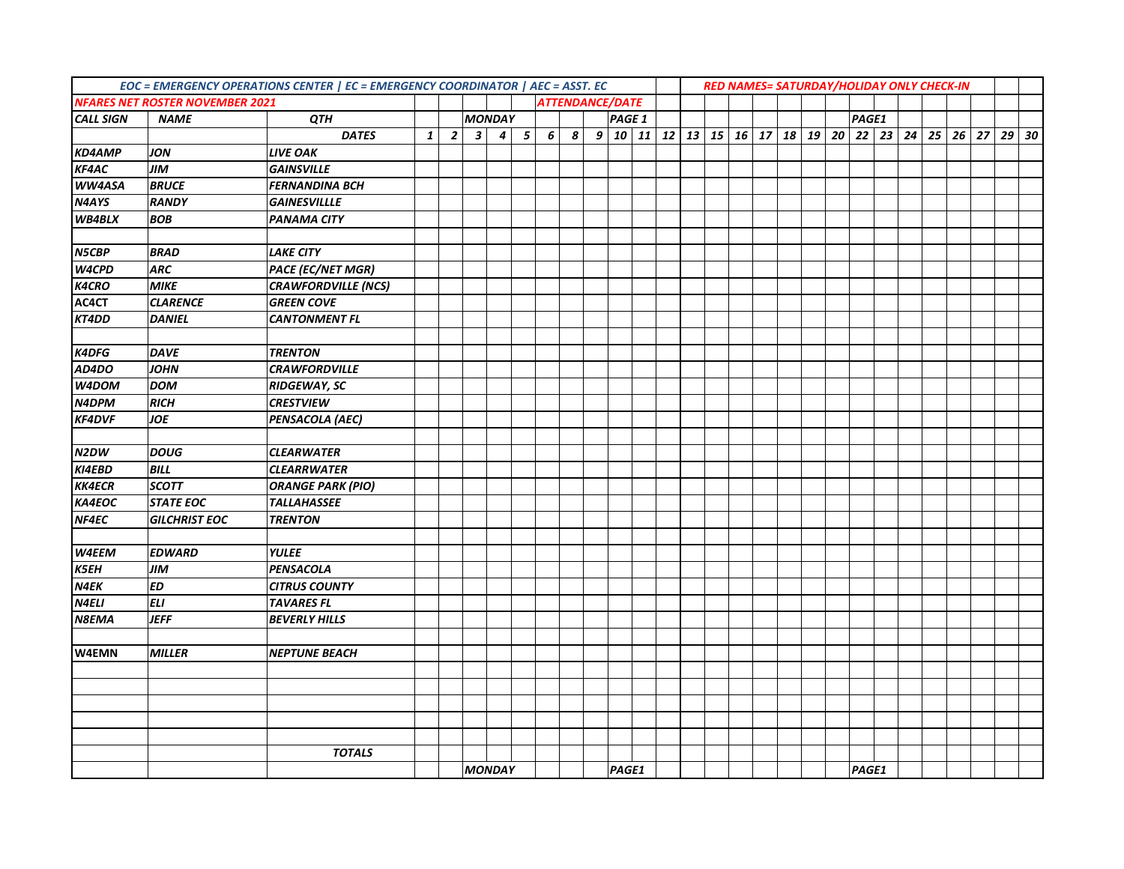|                  | <b>NFARES NET ROSTER NOVEMBER 2021</b> |                            | EOC = EMERGENCY OPERATIONS CENTER   EC = EMERGENCY COORDINATOR   AEC = ASST. EC<br>RED NAMES= SATURDAY/HOLIDAY ONLY CHECK-IN<br><b>ATTENDANCE/DATE</b><br><b>MONDAY</b><br>PAGE 1 |                |              |                  |            |   |   |       |             |  |  |                                           |  |       |  |  |  |         |
|------------------|----------------------------------------|----------------------------|-----------------------------------------------------------------------------------------------------------------------------------------------------------------------------------|----------------|--------------|------------------|------------|---|---|-------|-------------|--|--|-------------------------------------------|--|-------|--|--|--|---------|
| <b>CALL SIGN</b> | <b>NAME</b>                            | QTH                        |                                                                                                                                                                                   |                |              |                  |            |   |   |       |             |  |  |                                           |  | PAGE1 |  |  |  |         |
|                  |                                        | <b>DATES</b>               | $\mathbf{1}$                                                                                                                                                                      | $\overline{2}$ | $\mathbf{3}$ | $\boldsymbol{4}$ | $\sqrt{5}$ | 6 | 8 |       | 9   10   11 |  |  | 12 13 15 16 17 18 19 20 22 23 24 25 26 27 |  |       |  |  |  | $29$ 30 |
| <b>KD4AMP</b>    | <b>JON</b>                             | <b>LIVE OAK</b>            |                                                                                                                                                                                   |                |              |                  |            |   |   |       |             |  |  |                                           |  |       |  |  |  |         |
| <b>KF4AC</b>     | <b>JIM</b>                             | <b>GAINSVILLE</b>          |                                                                                                                                                                                   |                |              |                  |            |   |   |       |             |  |  |                                           |  |       |  |  |  |         |
| WW4ASA           | <b>BRUCE</b>                           | <b>FERNANDINA BCH</b>      |                                                                                                                                                                                   |                |              |                  |            |   |   |       |             |  |  |                                           |  |       |  |  |  |         |
| N4AYS            | <b>RANDY</b>                           | <b>GAINESVILLLE</b>        |                                                                                                                                                                                   |                |              |                  |            |   |   |       |             |  |  |                                           |  |       |  |  |  |         |
| WB4BLX           | <b>BOB</b>                             | <b>PANAMA CITY</b>         |                                                                                                                                                                                   |                |              |                  |            |   |   |       |             |  |  |                                           |  |       |  |  |  |         |
|                  |                                        |                            |                                                                                                                                                                                   |                |              |                  |            |   |   |       |             |  |  |                                           |  |       |  |  |  |         |
| N5CBP            | <b>BRAD</b>                            | <b>LAKE CITY</b>           |                                                                                                                                                                                   |                |              |                  |            |   |   |       |             |  |  |                                           |  |       |  |  |  |         |
| W4CPD            | <b>ARC</b>                             | <b>PACE (EC/NET MGR)</b>   |                                                                                                                                                                                   |                |              |                  |            |   |   |       |             |  |  |                                           |  |       |  |  |  |         |
| <b>K4CRO</b>     | <b>MIKE</b>                            | <b>CRAWFORDVILLE (NCS)</b> |                                                                                                                                                                                   |                |              |                  |            |   |   |       |             |  |  |                                           |  |       |  |  |  |         |
| AC4CT            | <b>CLARENCE</b>                        | <b>GREEN COVE</b>          |                                                                                                                                                                                   |                |              |                  |            |   |   |       |             |  |  |                                           |  |       |  |  |  |         |
| KT4DD            | <b>DANIEL</b>                          | <b>CANTONMENT FL</b>       |                                                                                                                                                                                   |                |              |                  |            |   |   |       |             |  |  |                                           |  |       |  |  |  |         |
|                  |                                        |                            |                                                                                                                                                                                   |                |              |                  |            |   |   |       |             |  |  |                                           |  |       |  |  |  |         |
| <b>K4DFG</b>     | <b>DAVE</b>                            | <b>TRENTON</b>             |                                                                                                                                                                                   |                |              |                  |            |   |   |       |             |  |  |                                           |  |       |  |  |  |         |
| AD4DO            | <b>JOHN</b>                            | <b>CRAWFORDVILLE</b>       |                                                                                                                                                                                   |                |              |                  |            |   |   |       |             |  |  |                                           |  |       |  |  |  |         |
| W4DOM            | <b>DOM</b>                             | <b>RIDGEWAY, SC</b>        |                                                                                                                                                                                   |                |              |                  |            |   |   |       |             |  |  |                                           |  |       |  |  |  |         |
| N4DPM            | <b>RICH</b>                            | <b>CRESTVIEW</b>           |                                                                                                                                                                                   |                |              |                  |            |   |   |       |             |  |  |                                           |  |       |  |  |  |         |
| <b>KF4DVF</b>    | <b>JOE</b>                             | <b>PENSACOLA (AEC)</b>     |                                                                                                                                                                                   |                |              |                  |            |   |   |       |             |  |  |                                           |  |       |  |  |  |         |
|                  |                                        |                            |                                                                                                                                                                                   |                |              |                  |            |   |   |       |             |  |  |                                           |  |       |  |  |  |         |
| N2DW             | <b>DOUG</b>                            | <b>CLEARWATER</b>          |                                                                                                                                                                                   |                |              |                  |            |   |   |       |             |  |  |                                           |  |       |  |  |  |         |
| KI4EBD           | <b>BILL</b>                            | <b>CLEARRWATER</b>         |                                                                                                                                                                                   |                |              |                  |            |   |   |       |             |  |  |                                           |  |       |  |  |  |         |
| <b>KK4ECR</b>    | <b>SCOTT</b>                           | <b>ORANGE PARK (PIO)</b>   |                                                                                                                                                                                   |                |              |                  |            |   |   |       |             |  |  |                                           |  |       |  |  |  |         |
| KA4EOC           | <b>STATE EOC</b>                       | <b>TALLAHASSEE</b>         |                                                                                                                                                                                   |                |              |                  |            |   |   |       |             |  |  |                                           |  |       |  |  |  |         |
| NF4EC            | <b>GILCHRIST EOC</b>                   | <b>TRENTON</b>             |                                                                                                                                                                                   |                |              |                  |            |   |   |       |             |  |  |                                           |  |       |  |  |  |         |
|                  |                                        |                            |                                                                                                                                                                                   |                |              |                  |            |   |   |       |             |  |  |                                           |  |       |  |  |  |         |
| W4EEM            | <b>EDWARD</b>                          | <b>YULEE</b>               |                                                                                                                                                                                   |                |              |                  |            |   |   |       |             |  |  |                                           |  |       |  |  |  |         |
| <b>K5EH</b>      | <b>JIM</b>                             | <b>PENSACOLA</b>           |                                                                                                                                                                                   |                |              |                  |            |   |   |       |             |  |  |                                           |  |       |  |  |  |         |
| N4EK             | <b>ED</b>                              | <b>CITRUS COUNTY</b>       |                                                                                                                                                                                   |                |              |                  |            |   |   |       |             |  |  |                                           |  |       |  |  |  |         |
| <b>N4ELI</b>     | <b>ELI</b>                             | <b>TAVARES FL</b>          |                                                                                                                                                                                   |                |              |                  |            |   |   |       |             |  |  |                                           |  |       |  |  |  |         |
| <b>N8EMA</b>     | <b>JEFF</b>                            | <b>BEVERLY HILLS</b>       |                                                                                                                                                                                   |                |              |                  |            |   |   |       |             |  |  |                                           |  |       |  |  |  |         |
|                  |                                        |                            |                                                                                                                                                                                   |                |              |                  |            |   |   |       |             |  |  |                                           |  |       |  |  |  |         |
| <b>W4EMN</b>     | <b>MILLER</b>                          | <b>NEPTUNE BEACH</b>       |                                                                                                                                                                                   |                |              |                  |            |   |   |       |             |  |  |                                           |  |       |  |  |  |         |
|                  |                                        |                            |                                                                                                                                                                                   |                |              |                  |            |   |   |       |             |  |  |                                           |  |       |  |  |  |         |
|                  |                                        |                            |                                                                                                                                                                                   |                |              |                  |            |   |   |       |             |  |  |                                           |  |       |  |  |  |         |
|                  |                                        |                            |                                                                                                                                                                                   |                |              |                  |            |   |   |       |             |  |  |                                           |  |       |  |  |  |         |
|                  |                                        |                            |                                                                                                                                                                                   |                |              |                  |            |   |   |       |             |  |  |                                           |  |       |  |  |  |         |
|                  |                                        |                            |                                                                                                                                                                                   |                |              |                  |            |   |   |       |             |  |  |                                           |  |       |  |  |  |         |
|                  |                                        | <b>TOTALS</b>              |                                                                                                                                                                                   |                |              |                  |            |   |   |       |             |  |  |                                           |  |       |  |  |  |         |
|                  |                                        |                            |                                                                                                                                                                                   |                |              | <b>MONDAY</b>    |            |   |   | PAGE1 |             |  |  |                                           |  | PAGE1 |  |  |  |         |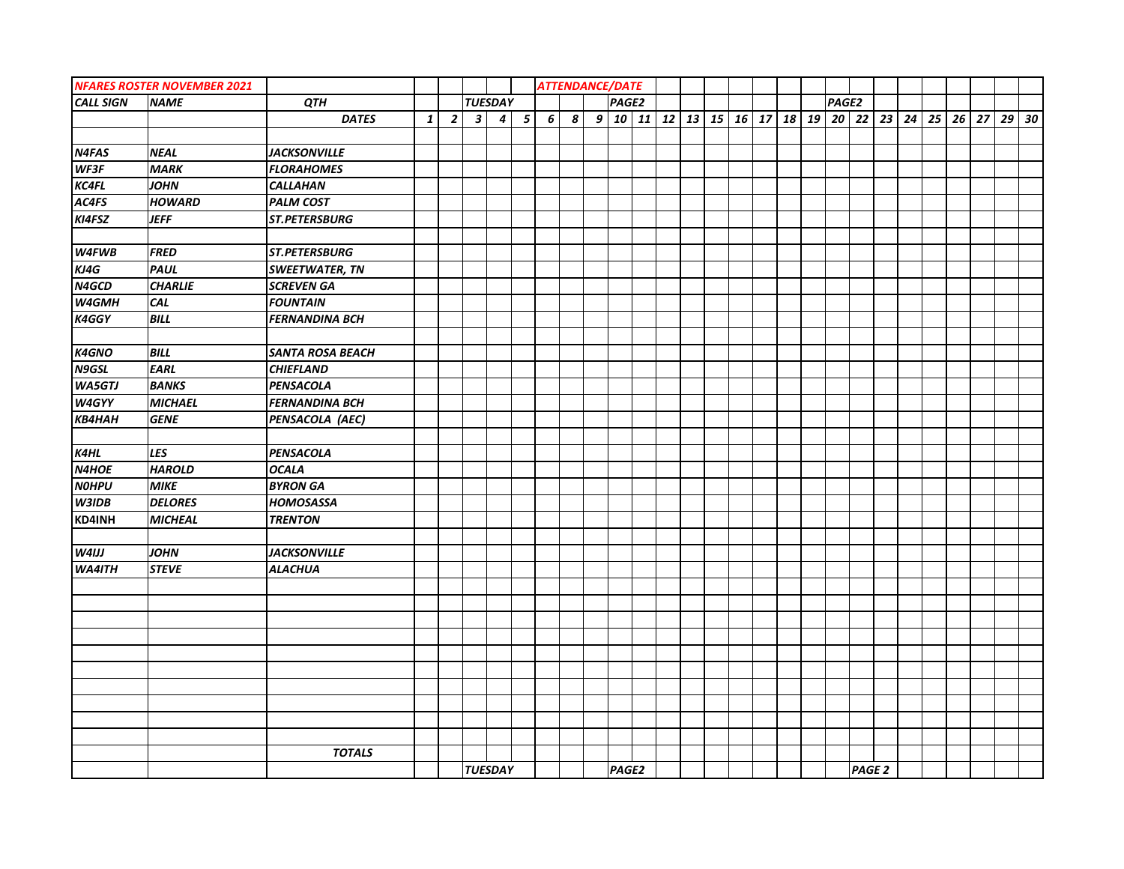|                  | <b>NFARES ROSTER NOVEMBER 2021</b> |                         |              |                |                         |                  |            | <b>ATTENDANCE/DATE</b> |                  |       |                                                      |  |  |  |       |                   |  |  |         |  |
|------------------|------------------------------------|-------------------------|--------------|----------------|-------------------------|------------------|------------|------------------------|------------------|-------|------------------------------------------------------|--|--|--|-------|-------------------|--|--|---------|--|
| <b>CALL SIGN</b> | <b>NAME</b>                        | QTH                     |              |                |                         | <b>TUESDAY</b>   |            |                        |                  | PAGE2 |                                                      |  |  |  | PAGE2 |                   |  |  |         |  |
|                  |                                    | <b>DATES</b>            | $\mathbf{1}$ | $\overline{2}$ | $\overline{\mathbf{3}}$ | $\boldsymbol{4}$ | $\sqrt{5}$ | 6 <sup>1</sup>         | $\boldsymbol{s}$ |       | $9 10 11 12 13 15 16 17 18 19 20 22 23 24 25 26 27 $ |  |  |  |       |                   |  |  | $29$ 30 |  |
|                  |                                    |                         |              |                |                         |                  |            |                        |                  |       |                                                      |  |  |  |       |                   |  |  |         |  |
| N4FAS            | <b>NEAL</b>                        | <b>JACKSONVILLE</b>     |              |                |                         |                  |            |                        |                  |       |                                                      |  |  |  |       |                   |  |  |         |  |
| WF3F             | <b>MARK</b>                        | <b>FLORAHOMES</b>       |              |                |                         |                  |            |                        |                  |       |                                                      |  |  |  |       |                   |  |  |         |  |
| <b>KC4FL</b>     | <b>JOHN</b>                        | <b>CALLAHAN</b>         |              |                |                         |                  |            |                        |                  |       |                                                      |  |  |  |       |                   |  |  |         |  |
| AC4FS            | <b>HOWARD</b>                      | <b>PALM COST</b>        |              |                |                         |                  |            |                        |                  |       |                                                      |  |  |  |       |                   |  |  |         |  |
| KI4FSZ           | <b>JEFF</b>                        | ST.PETERSBURG           |              |                |                         |                  |            |                        |                  |       |                                                      |  |  |  |       |                   |  |  |         |  |
|                  |                                    |                         |              |                |                         |                  |            |                        |                  |       |                                                      |  |  |  |       |                   |  |  |         |  |
| W4FWB            | <b>FRED</b>                        | ST.PETERSBURG           |              |                |                         |                  |            |                        |                  |       |                                                      |  |  |  |       |                   |  |  |         |  |
| KJ4G             | <b>PAUL</b>                        | <b>SWEETWATER, TN</b>   |              |                |                         |                  |            |                        |                  |       |                                                      |  |  |  |       |                   |  |  |         |  |
| N4GCD            | <b>CHARLIE</b>                     | <b>SCREVEN GA</b>       |              |                |                         |                  |            |                        |                  |       |                                                      |  |  |  |       |                   |  |  |         |  |
| W4GMH            | CAL                                | <b>FOUNTAIN</b>         |              |                |                         |                  |            |                        |                  |       |                                                      |  |  |  |       |                   |  |  |         |  |
| K4GGY            | <b>BILL</b>                        | <b>FERNANDINA BCH</b>   |              |                |                         |                  |            |                        |                  |       |                                                      |  |  |  |       |                   |  |  |         |  |
|                  |                                    |                         |              |                |                         |                  |            |                        |                  |       |                                                      |  |  |  |       |                   |  |  |         |  |
| K4GNO            | <b>BILL</b>                        | <b>SANTA ROSA BEACH</b> |              |                |                         |                  |            |                        |                  |       |                                                      |  |  |  |       |                   |  |  |         |  |
| N9GSL            | <b>EARL</b>                        | <b>CHIEFLAND</b>        |              |                |                         |                  |            |                        |                  |       |                                                      |  |  |  |       |                   |  |  |         |  |
| <b>WA5GTJ</b>    | <b>BANKS</b>                       | PENSACOLA               |              |                |                         |                  |            |                        |                  |       |                                                      |  |  |  |       |                   |  |  |         |  |
| W4GYY            | <b>MICHAEL</b>                     | <b>FERNANDINA BCH</b>   |              |                |                         |                  |            |                        |                  |       |                                                      |  |  |  |       |                   |  |  |         |  |
| <b>КВ4НАН</b>    | <b>GENE</b>                        | PENSACOLA (AEC)         |              |                |                         |                  |            |                        |                  |       |                                                      |  |  |  |       |                   |  |  |         |  |
|                  |                                    |                         |              |                |                         |                  |            |                        |                  |       |                                                      |  |  |  |       |                   |  |  |         |  |
| K4HL             | LES                                | PENSACOLA               |              |                |                         |                  |            |                        |                  |       |                                                      |  |  |  |       |                   |  |  |         |  |
| N4HOE            | <b>HAROLD</b>                      | <b>OCALA</b>            |              |                |                         |                  |            |                        |                  |       |                                                      |  |  |  |       |                   |  |  |         |  |
| <b>NOHPU</b>     | <b>MIKE</b>                        | <b>BYRON GA</b>         |              |                |                         |                  |            |                        |                  |       |                                                      |  |  |  |       |                   |  |  |         |  |
| W3IDB            | <b>DELORES</b>                     | <b>HOMOSASSA</b>        |              |                |                         |                  |            |                        |                  |       |                                                      |  |  |  |       |                   |  |  |         |  |
| KD4INH           | <b>MICHEAL</b>                     | <b>TRENTON</b>          |              |                |                         |                  |            |                        |                  |       |                                                      |  |  |  |       |                   |  |  |         |  |
|                  |                                    |                         |              |                |                         |                  |            |                        |                  |       |                                                      |  |  |  |       |                   |  |  |         |  |
| W4IJJ            | <b>JOHN</b>                        | <b>JACKSONVILLE</b>     |              |                |                         |                  |            |                        |                  |       |                                                      |  |  |  |       |                   |  |  |         |  |
| <b>WA4ITH</b>    | <b>STEVE</b>                       | <b>ALACHUA</b>          |              |                |                         |                  |            |                        |                  |       |                                                      |  |  |  |       |                   |  |  |         |  |
|                  |                                    |                         |              |                |                         |                  |            |                        |                  |       |                                                      |  |  |  |       |                   |  |  |         |  |
|                  |                                    |                         |              |                |                         |                  |            |                        |                  |       |                                                      |  |  |  |       |                   |  |  |         |  |
|                  |                                    |                         |              |                |                         |                  |            |                        |                  |       |                                                      |  |  |  |       |                   |  |  |         |  |
|                  |                                    |                         |              |                |                         |                  |            |                        |                  |       |                                                      |  |  |  |       |                   |  |  |         |  |
|                  |                                    |                         |              |                |                         |                  |            |                        |                  |       |                                                      |  |  |  |       |                   |  |  |         |  |
|                  |                                    |                         |              |                |                         |                  |            |                        |                  |       |                                                      |  |  |  |       |                   |  |  |         |  |
|                  |                                    |                         |              |                |                         |                  |            |                        |                  |       |                                                      |  |  |  |       |                   |  |  |         |  |
|                  |                                    |                         |              |                |                         |                  |            |                        |                  |       |                                                      |  |  |  |       |                   |  |  |         |  |
|                  |                                    |                         |              |                |                         |                  |            |                        |                  |       |                                                      |  |  |  |       |                   |  |  |         |  |
|                  |                                    |                         |              |                |                         |                  |            |                        |                  |       |                                                      |  |  |  |       |                   |  |  |         |  |
|                  |                                    | <b>TOTALS</b>           |              |                |                         |                  |            |                        |                  |       |                                                      |  |  |  |       |                   |  |  |         |  |
|                  |                                    |                         |              |                |                         | <b>TUESDAY</b>   |            |                        |                  | PAGE2 |                                                      |  |  |  |       | PAGE <sub>2</sub> |  |  |         |  |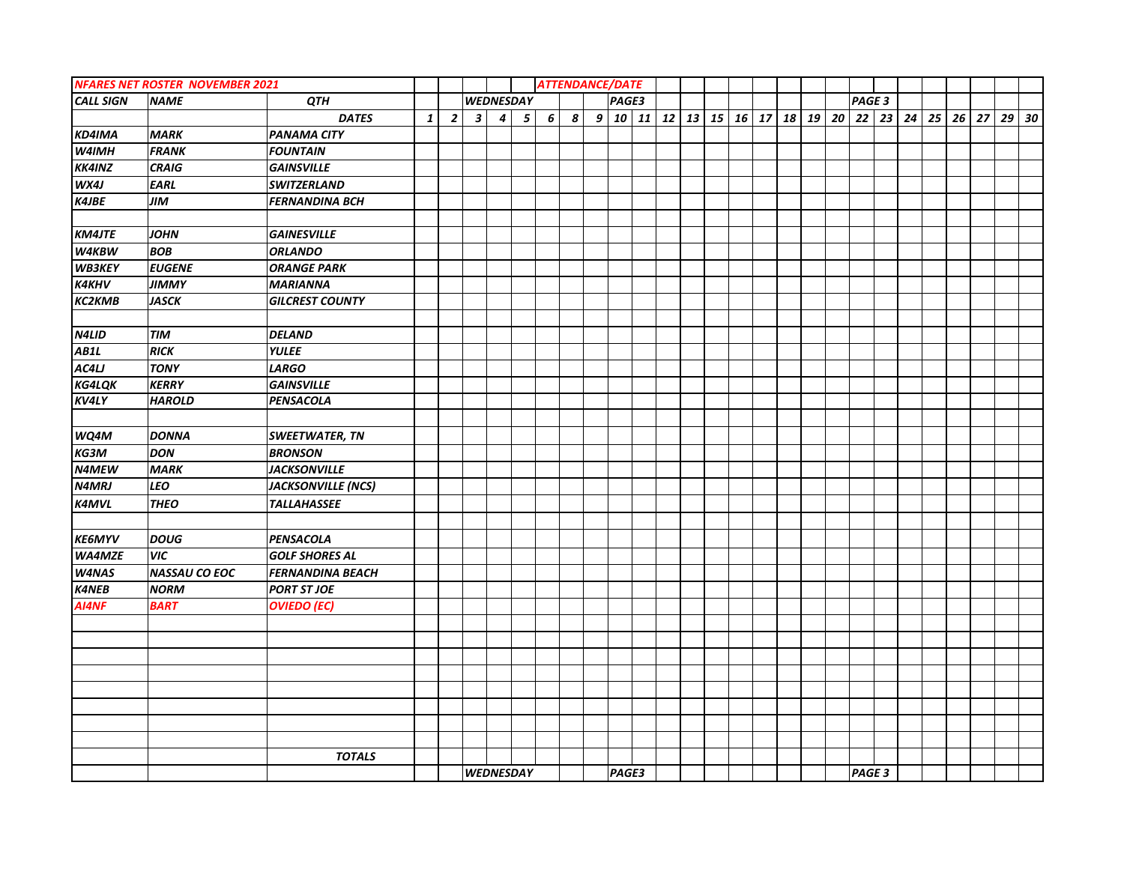|                  | <b>NFARES NET ROSTER NOVEMBER 2021</b> |                           |              |                |                         |                  |                 | <b>ATTENDANCE/DATE</b> |                  |       |  |                                           |  |  |        |  |  |                                       |         |  |
|------------------|----------------------------------------|---------------------------|--------------|----------------|-------------------------|------------------|-----------------|------------------------|------------------|-------|--|-------------------------------------------|--|--|--------|--|--|---------------------------------------|---------|--|
| <b>CALL SIGN</b> | <b>NAME</b>                            | QTH                       |              |                |                         | <b>WEDNESDAY</b> |                 |                        |                  | PAGE3 |  |                                           |  |  | PAGE 3 |  |  |                                       |         |  |
|                  |                                        | <b>DATES</b>              | $\mathbf{1}$ | $\overline{2}$ | $\overline{\mathbf{3}}$ | $\vert$ 4        | $5\overline{5}$ | $6 \mid$               | $\boldsymbol{s}$ |       |  | 9   10   11   12   13   15   16   17   18 |  |  |        |  |  | 19   20   22   23   24   25   26   27 | $29$ 30 |  |
| KD4IMA           | <b>MARK</b>                            | <b>PANAMA CITY</b>        |              |                |                         |                  |                 |                        |                  |       |  |                                           |  |  |        |  |  |                                       |         |  |
| W4IMH            | <b>FRANK</b>                           | <b>FOUNTAIN</b>           |              |                |                         |                  |                 |                        |                  |       |  |                                           |  |  |        |  |  |                                       |         |  |
| <b>KK4INZ</b>    | <b>CRAIG</b>                           | <b>GAINSVILLE</b>         |              |                |                         |                  |                 |                        |                  |       |  |                                           |  |  |        |  |  |                                       |         |  |
| WX4J             | <b>EARL</b>                            | <b>SWITZERLAND</b>        |              |                |                         |                  |                 |                        |                  |       |  |                                           |  |  |        |  |  |                                       |         |  |
| <b>K4JBE</b>     | <b>JIM</b>                             | <b>FERNANDINA BCH</b>     |              |                |                         |                  |                 |                        |                  |       |  |                                           |  |  |        |  |  |                                       |         |  |
|                  |                                        |                           |              |                |                         |                  |                 |                        |                  |       |  |                                           |  |  |        |  |  |                                       |         |  |
| <b>KM4JTE</b>    | <b>JOHN</b>                            | <b>GAINESVILLE</b>        |              |                |                         |                  |                 |                        |                  |       |  |                                           |  |  |        |  |  |                                       |         |  |
| <b>W4KBW</b>     | <b>BOB</b>                             | <b>ORLANDO</b>            |              |                |                         |                  |                 |                        |                  |       |  |                                           |  |  |        |  |  |                                       |         |  |
| WB3KEY           | <b>EUGENE</b>                          | <b>ORANGE PARK</b>        |              |                |                         |                  |                 |                        |                  |       |  |                                           |  |  |        |  |  |                                       |         |  |
| <b>K4KHV</b>     | <b>JIMMY</b>                           | <b>MARIANNA</b>           |              |                |                         |                  |                 |                        |                  |       |  |                                           |  |  |        |  |  |                                       |         |  |
| <b>КС2КМВ</b>    | <b>JASCK</b>                           | <b>GILCREST COUNTY</b>    |              |                |                         |                  |                 |                        |                  |       |  |                                           |  |  |        |  |  |                                       |         |  |
|                  |                                        |                           |              |                |                         |                  |                 |                        |                  |       |  |                                           |  |  |        |  |  |                                       |         |  |
| N4LID            | <b>TIM</b>                             | <b>DELAND</b>             |              |                |                         |                  |                 |                        |                  |       |  |                                           |  |  |        |  |  |                                       |         |  |
| AB1L             | <b>RICK</b>                            | <b>YULEE</b>              |              |                |                         |                  |                 |                        |                  |       |  |                                           |  |  |        |  |  |                                       |         |  |
| AC4LJ            | <b>TONY</b>                            | <b>LARGO</b>              |              |                |                         |                  |                 |                        |                  |       |  |                                           |  |  |        |  |  |                                       |         |  |
| <b>KG4LQK</b>    | <b>KERRY</b>                           | <b>GAINSVILLE</b>         |              |                |                         |                  |                 |                        |                  |       |  |                                           |  |  |        |  |  |                                       |         |  |
| <b>KV4LY</b>     | <b>HAROLD</b>                          | <b>PENSACOLA</b>          |              |                |                         |                  |                 |                        |                  |       |  |                                           |  |  |        |  |  |                                       |         |  |
|                  |                                        |                           |              |                |                         |                  |                 |                        |                  |       |  |                                           |  |  |        |  |  |                                       |         |  |
| WQ4M             | <b>DONNA</b>                           | <b>SWEETWATER, TN</b>     |              |                |                         |                  |                 |                        |                  |       |  |                                           |  |  |        |  |  |                                       |         |  |
| KG3M             | <b>DON</b>                             | <b>BRONSON</b>            |              |                |                         |                  |                 |                        |                  |       |  |                                           |  |  |        |  |  |                                       |         |  |
| N4MEW            | <b>MARK</b>                            | <b>JACKSONVILLE</b>       |              |                |                         |                  |                 |                        |                  |       |  |                                           |  |  |        |  |  |                                       |         |  |
| <b>N4MRJ</b>     | <b>LEO</b>                             | <b>JACKSONVILLE (NCS)</b> |              |                |                         |                  |                 |                        |                  |       |  |                                           |  |  |        |  |  |                                       |         |  |
| <b>K4MVL</b>     | <b>THEO</b>                            | <b>TALLAHASSEE</b>        |              |                |                         |                  |                 |                        |                  |       |  |                                           |  |  |        |  |  |                                       |         |  |
|                  |                                        |                           |              |                |                         |                  |                 |                        |                  |       |  |                                           |  |  |        |  |  |                                       |         |  |
| <b>KE6MYV</b>    | <b>DOUG</b>                            | <b>PENSACOLA</b>          |              |                |                         |                  |                 |                        |                  |       |  |                                           |  |  |        |  |  |                                       |         |  |
| <b>WA4MZE</b>    | <b>VIC</b>                             | <b>GOLF SHORES AL</b>     |              |                |                         |                  |                 |                        |                  |       |  |                                           |  |  |        |  |  |                                       |         |  |
| <b>W4NAS</b>     | <b>NASSAU CO EOC</b>                   | <b>FERNANDINA BEACH</b>   |              |                |                         |                  |                 |                        |                  |       |  |                                           |  |  |        |  |  |                                       |         |  |
| <b>K4NEB</b>     | <b>NORM</b>                            | <b>PORT ST JOE</b>        |              |                |                         |                  |                 |                        |                  |       |  |                                           |  |  |        |  |  |                                       |         |  |
| AI4NF            | <b>BART</b>                            | <b>OVIEDO (EC)</b>        |              |                |                         |                  |                 |                        |                  |       |  |                                           |  |  |        |  |  |                                       |         |  |
|                  |                                        |                           |              |                |                         |                  |                 |                        |                  |       |  |                                           |  |  |        |  |  |                                       |         |  |
|                  |                                        |                           |              |                |                         |                  |                 |                        |                  |       |  |                                           |  |  |        |  |  |                                       |         |  |
|                  |                                        |                           |              |                |                         |                  |                 |                        |                  |       |  |                                           |  |  |        |  |  |                                       |         |  |
|                  |                                        |                           |              |                |                         |                  |                 |                        |                  |       |  |                                           |  |  |        |  |  |                                       |         |  |
|                  |                                        |                           |              |                |                         |                  |                 |                        |                  |       |  |                                           |  |  |        |  |  |                                       |         |  |
|                  |                                        |                           |              |                |                         |                  |                 |                        |                  |       |  |                                           |  |  |        |  |  |                                       |         |  |
|                  |                                        |                           |              |                |                         |                  |                 |                        |                  |       |  |                                           |  |  |        |  |  |                                       |         |  |
|                  |                                        |                           |              |                |                         |                  |                 |                        |                  |       |  |                                           |  |  |        |  |  |                                       |         |  |
|                  |                                        | <b>TOTALS</b>             |              |                |                         |                  |                 |                        |                  |       |  |                                           |  |  |        |  |  |                                       |         |  |
|                  |                                        |                           |              |                |                         | <b>WEDNESDAY</b> |                 |                        |                  | PAGE3 |  |                                           |  |  | PAGE 3 |  |  |                                       |         |  |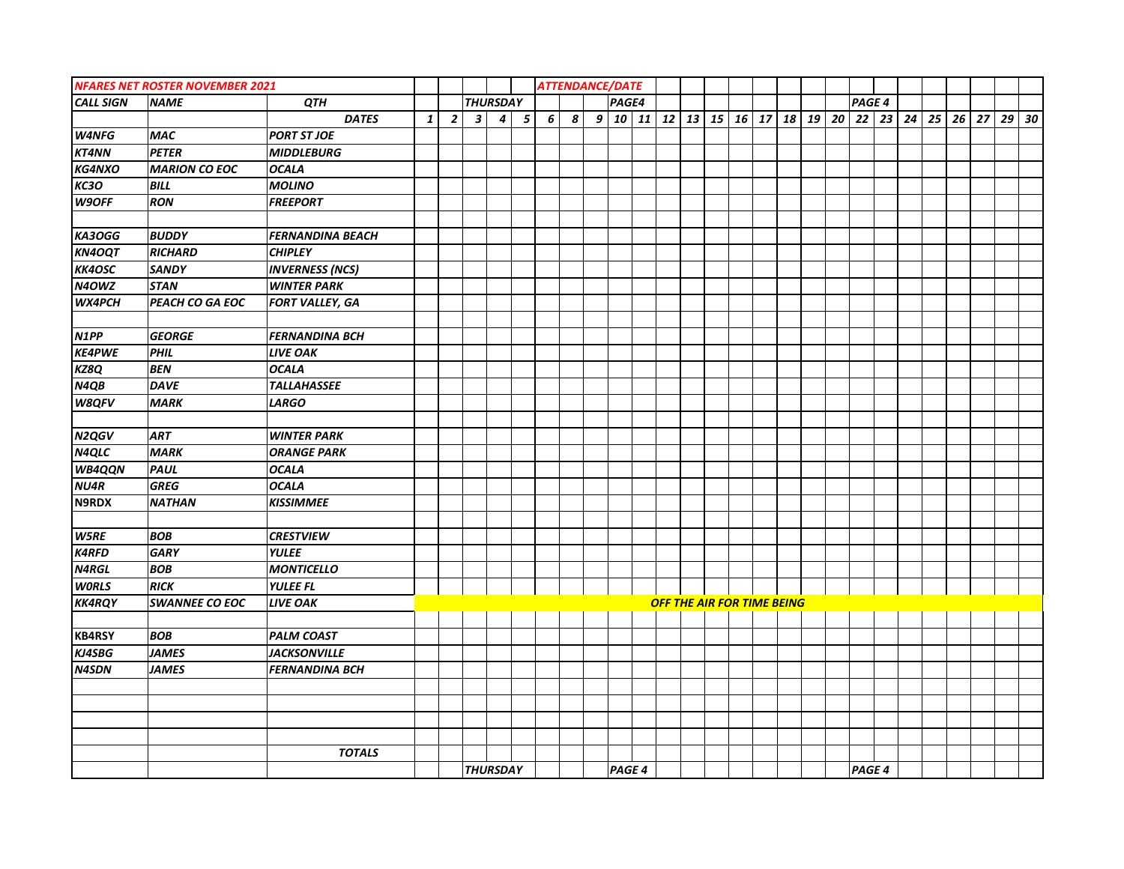|                  | <b>NFARES NET ROSTER NOVEMBER 2021</b> |                         |              |                |                         |                  |            | <b>ATTENDANCE/DATE</b> |  |       |        |  |                                   |  |  |                      |  |  |            |  |
|------------------|----------------------------------------|-------------------------|--------------|----------------|-------------------------|------------------|------------|------------------------|--|-------|--------|--|-----------------------------------|--|--|----------------------|--|--|------------|--|
| <b>CALL SIGN</b> | <b>NAME</b>                            | <b>QTH</b>              |              |                |                         | <b>THURSDAY</b>  |            |                        |  | PAGE4 |        |  |                                   |  |  | PAGE 4               |  |  |            |  |
|                  |                                        | <b>DATES</b>            | $\mathbf{1}$ | $\overline{2}$ | $\overline{\mathbf{3}}$ | $\boldsymbol{4}$ | $\sqrt{5}$ | 6 <sup>1</sup>         |  |       |        |  |                                   |  |  | 19 20 22 23 24 25 26 |  |  | $27$ 29 30 |  |
| W4NFG            | <b>MAC</b>                             | <b>PORT ST JOE</b>      |              |                |                         |                  |            |                        |  |       |        |  |                                   |  |  |                      |  |  |            |  |
| KT4NN            | <b>PETER</b>                           | <b>MIDDLEBURG</b>       |              |                |                         |                  |            |                        |  |       |        |  |                                   |  |  |                      |  |  |            |  |
| <b>KG4NXO</b>    | <b>MARION CO EOC</b>                   | <b>OCALA</b>            |              |                |                         |                  |            |                        |  |       |        |  |                                   |  |  |                      |  |  |            |  |
| <b>КСЗО</b>      | <b>BILL</b>                            | <b>MOLINO</b>           |              |                |                         |                  |            |                        |  |       |        |  |                                   |  |  |                      |  |  |            |  |
| W9OFF            | <b>RON</b>                             | <b>FREEPORT</b>         |              |                |                         |                  |            |                        |  |       |        |  |                                   |  |  |                      |  |  |            |  |
|                  |                                        |                         |              |                |                         |                  |            |                        |  |       |        |  |                                   |  |  |                      |  |  |            |  |
| KA3OGG           | <b>BUDDY</b>                           | <b>FERNANDINA BEACH</b> |              |                |                         |                  |            |                        |  |       |        |  |                                   |  |  |                      |  |  |            |  |
| <b>KN4OQT</b>    | <b>RICHARD</b>                         | <b>CHIPLEY</b>          |              |                |                         |                  |            |                        |  |       |        |  |                                   |  |  |                      |  |  |            |  |
| <b>KK4OSC</b>    | <b>SANDY</b>                           | <b>INVERNESS (NCS)</b>  |              |                |                         |                  |            |                        |  |       |        |  |                                   |  |  |                      |  |  |            |  |
| N4OWZ            | <b>STAN</b>                            | <b>WINTER PARK</b>      |              |                |                         |                  |            |                        |  |       |        |  |                                   |  |  |                      |  |  |            |  |
| WX4PCH           | PEACH CO GA EOC                        | <b>FORT VALLEY, GA</b>  |              |                |                         |                  |            |                        |  |       |        |  |                                   |  |  |                      |  |  |            |  |
|                  |                                        |                         |              |                |                         |                  |            |                        |  |       |        |  |                                   |  |  |                      |  |  |            |  |
| N1PP             | <b>GEORGE</b>                          | <b>FERNANDINA BCH</b>   |              |                |                         |                  |            |                        |  |       |        |  |                                   |  |  |                      |  |  |            |  |
| <b>KE4PWE</b>    | <b>PHIL</b>                            | <b>LIVE OAK</b>         |              |                |                         |                  |            |                        |  |       |        |  |                                   |  |  |                      |  |  |            |  |
| KZ8Q             | <b>BEN</b>                             | <b>OCALA</b>            |              |                |                         |                  |            |                        |  |       |        |  |                                   |  |  |                      |  |  |            |  |
| N4QB             | <b>DAVE</b>                            | <b>TALLAHASSEE</b>      |              |                |                         |                  |            |                        |  |       |        |  |                                   |  |  |                      |  |  |            |  |
| <b>W8QFV</b>     | <b>MARK</b>                            | <b>LARGO</b>            |              |                |                         |                  |            |                        |  |       |        |  |                                   |  |  |                      |  |  |            |  |
|                  |                                        |                         |              |                |                         |                  |            |                        |  |       |        |  |                                   |  |  |                      |  |  |            |  |
| N2QGV            | ART                                    | <b>WINTER PARK</b>      |              |                |                         |                  |            |                        |  |       |        |  |                                   |  |  |                      |  |  |            |  |
| N4QLC            | <b>MARK</b>                            | <b>ORANGE PARK</b>      |              |                |                         |                  |            |                        |  |       |        |  |                                   |  |  |                      |  |  |            |  |
| WB4QQN           | PAUL                                   | <b>OCALA</b>            |              |                |                         |                  |            |                        |  |       |        |  |                                   |  |  |                      |  |  |            |  |
| NU4R             | <b>GREG</b>                            | <b>OCALA</b>            |              |                |                         |                  |            |                        |  |       |        |  |                                   |  |  |                      |  |  |            |  |
| N9RDX            | <b>NATHAN</b>                          | <b>KISSIMMEE</b>        |              |                |                         |                  |            |                        |  |       |        |  |                                   |  |  |                      |  |  |            |  |
|                  |                                        |                         |              |                |                         |                  |            |                        |  |       |        |  |                                   |  |  |                      |  |  |            |  |
| W5RE             | <b>BOB</b>                             | <b>CRESTVIEW</b>        |              |                |                         |                  |            |                        |  |       |        |  |                                   |  |  |                      |  |  |            |  |
| <b>K4RFD</b>     | <b>GARY</b>                            | <b>YULEE</b>            |              |                |                         |                  |            |                        |  |       |        |  |                                   |  |  |                      |  |  |            |  |
| <b>N4RGL</b>     | <b>BOB</b>                             | <b>MONTICELLO</b>       |              |                |                         |                  |            |                        |  |       |        |  |                                   |  |  |                      |  |  |            |  |
| <b>WORLS</b>     | <b>RICK</b>                            | <b>YULEE FL</b>         |              |                |                         |                  |            |                        |  |       |        |  |                                   |  |  |                      |  |  |            |  |
| <b>KK4RQY</b>    | <b>SWANNEE CO EOC</b>                  | <b>LIVE OAK</b>         |              |                |                         |                  |            |                        |  |       |        |  | <b>OFF THE AIR FOR TIME BEING</b> |  |  |                      |  |  |            |  |
|                  |                                        |                         |              |                |                         |                  |            |                        |  |       |        |  |                                   |  |  |                      |  |  |            |  |
| <b>KB4RSY</b>    | <b>BOB</b>                             | <b>PALM COAST</b>       |              |                |                         |                  |            |                        |  |       |        |  |                                   |  |  |                      |  |  |            |  |
| <b>KJ4SBG</b>    | <b>JAMES</b>                           | <b>JACKSONVILLE</b>     |              |                |                         |                  |            |                        |  |       |        |  |                                   |  |  |                      |  |  |            |  |
| <b>N4SDN</b>     | <b>JAMES</b>                           | <b>FERNANDINA BCH</b>   |              |                |                         |                  |            |                        |  |       |        |  |                                   |  |  |                      |  |  |            |  |
|                  |                                        |                         |              |                |                         |                  |            |                        |  |       |        |  |                                   |  |  |                      |  |  |            |  |
|                  |                                        |                         |              |                |                         |                  |            |                        |  |       |        |  |                                   |  |  |                      |  |  |            |  |
|                  |                                        |                         |              |                |                         |                  |            |                        |  |       |        |  |                                   |  |  |                      |  |  |            |  |
|                  |                                        |                         |              |                |                         |                  |            |                        |  |       |        |  |                                   |  |  |                      |  |  |            |  |
|                  |                                        | <b>TOTALS</b>           |              |                |                         |                  |            |                        |  |       |        |  |                                   |  |  |                      |  |  |            |  |
|                  |                                        |                         |              |                |                         | <b>THURSDAY</b>  |            |                        |  |       | PAGE 4 |  |                                   |  |  | PAGE 4               |  |  |            |  |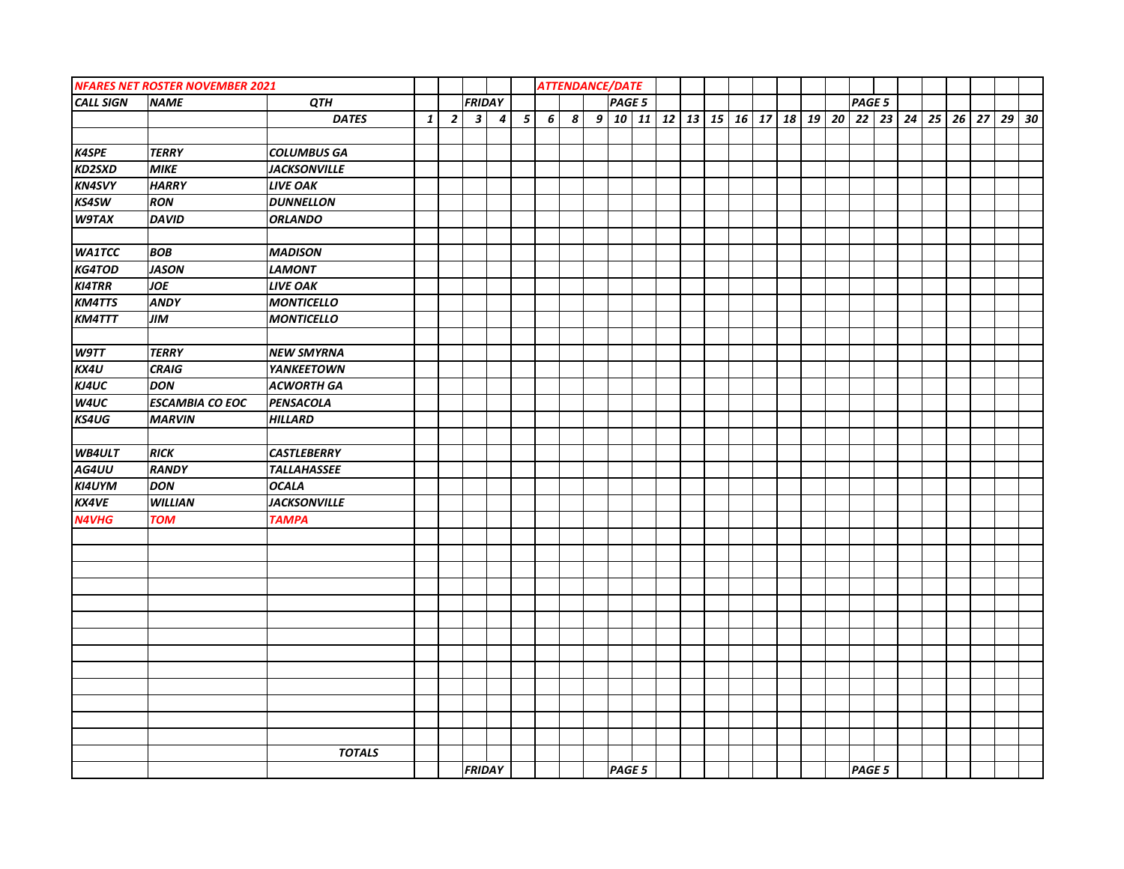|                  | <b>NFARES NET ROSTER NOVEMBER 2021</b> |                     |              |                |                         |           |                         | <b>ATTENDANCE/DATE</b> |  |        |  |  |  |  |               |  |  |  |  |
|------------------|----------------------------------------|---------------------|--------------|----------------|-------------------------|-----------|-------------------------|------------------------|--|--------|--|--|--|--|---------------|--|--|--|--|
| <b>CALL SIGN</b> | <b>NAME</b>                            | QTH                 |              |                | <b>FRIDAY</b>           |           |                         |                        |  | PAGE 5 |  |  |  |  | PAGE 5        |  |  |  |  |
|                  |                                        | <b>DATES</b>        | $\mathbf{1}$ | $\overline{2}$ | $\overline{\mathbf{3}}$ | $\vert$ 4 | $\overline{\mathbf{5}}$ | 6 <sup>1</sup>         |  |        |  |  |  |  |               |  |  |  |  |
|                  |                                        |                     |              |                |                         |           |                         |                        |  |        |  |  |  |  |               |  |  |  |  |
| <b>K4SPE</b>     | <b>TERRY</b>                           | <b>COLUMBUS GA</b>  |              |                |                         |           |                         |                        |  |        |  |  |  |  |               |  |  |  |  |
| <b>KD2SXD</b>    | <b>MIKE</b>                            | <b>JACKSONVILLE</b> |              |                |                         |           |                         |                        |  |        |  |  |  |  |               |  |  |  |  |
| <b>KN4SVY</b>    | <b>HARRY</b>                           | <b>LIVE OAK</b>     |              |                |                         |           |                         |                        |  |        |  |  |  |  |               |  |  |  |  |
| <b>KS4SW</b>     | RON                                    | <b>DUNNELLON</b>    |              |                |                         |           |                         |                        |  |        |  |  |  |  |               |  |  |  |  |
| <b>W9TAX</b>     | <b>DAVID</b>                           | <b>ORLANDO</b>      |              |                |                         |           |                         |                        |  |        |  |  |  |  |               |  |  |  |  |
|                  |                                        |                     |              |                |                         |           |                         |                        |  |        |  |  |  |  |               |  |  |  |  |
| <b>WA1TCC</b>    | <b>BOB</b>                             | <b>MADISON</b>      |              |                |                         |           |                         |                        |  |        |  |  |  |  |               |  |  |  |  |
| KG4TOD           | <b>JASON</b>                           | <b>LAMONT</b>       |              |                |                         |           |                         |                        |  |        |  |  |  |  |               |  |  |  |  |
| <b>KI4TRR</b>    | JOE                                    | <b>LIVE OAK</b>     |              |                |                         |           |                         |                        |  |        |  |  |  |  |               |  |  |  |  |
| <b>KM4TTS</b>    | <b>ANDY</b>                            | <b>MONTICELLO</b>   |              |                |                         |           |                         |                        |  |        |  |  |  |  |               |  |  |  |  |
| <b>KM4TTT</b>    | <b>JIM</b>                             | <b>MONTICELLO</b>   |              |                |                         |           |                         |                        |  |        |  |  |  |  |               |  |  |  |  |
|                  |                                        |                     |              |                |                         |           |                         |                        |  |        |  |  |  |  |               |  |  |  |  |
| W9TT             | <b>TERRY</b>                           | <b>NEW SMYRNA</b>   |              |                |                         |           |                         |                        |  |        |  |  |  |  |               |  |  |  |  |
| KX4U             | <b>CRAIG</b>                           | <b>YANKEETOWN</b>   |              |                |                         |           |                         |                        |  |        |  |  |  |  |               |  |  |  |  |
| KJ4UC            | <b>DON</b>                             | <b>ACWORTH GA</b>   |              |                |                         |           |                         |                        |  |        |  |  |  |  |               |  |  |  |  |
| W4UC             | <b>ESCAMBIA CO EOC</b>                 | PENSACOLA           |              |                |                         |           |                         |                        |  |        |  |  |  |  |               |  |  |  |  |
| KS4UG            | <b>MARVIN</b>                          | <b>HILLARD</b>      |              |                |                         |           |                         |                        |  |        |  |  |  |  |               |  |  |  |  |
|                  |                                        |                     |              |                |                         |           |                         |                        |  |        |  |  |  |  |               |  |  |  |  |
| <b>WB4ULT</b>    | <b>RICK</b>                            | <b>CASTLEBERRY</b>  |              |                |                         |           |                         |                        |  |        |  |  |  |  |               |  |  |  |  |
| AG4UU            | <b>RANDY</b>                           | <b>TALLAHASSEE</b>  |              |                |                         |           |                         |                        |  |        |  |  |  |  |               |  |  |  |  |
| KI4UYM           | <b>DON</b>                             | <b>OCALA</b>        |              |                |                         |           |                         |                        |  |        |  |  |  |  |               |  |  |  |  |
| <b>KX4VE</b>     | <b>WILLIAN</b>                         | <b>JACKSONVILLE</b> |              |                |                         |           |                         |                        |  |        |  |  |  |  |               |  |  |  |  |
| <b>N4VHG</b>     | <b>TOM</b>                             | <b>TAMPA</b>        |              |                |                         |           |                         |                        |  |        |  |  |  |  |               |  |  |  |  |
|                  |                                        |                     |              |                |                         |           |                         |                        |  |        |  |  |  |  |               |  |  |  |  |
|                  |                                        |                     |              |                |                         |           |                         |                        |  |        |  |  |  |  |               |  |  |  |  |
|                  |                                        |                     |              |                |                         |           |                         |                        |  |        |  |  |  |  |               |  |  |  |  |
|                  |                                        |                     |              |                |                         |           |                         |                        |  |        |  |  |  |  |               |  |  |  |  |
|                  |                                        |                     |              |                |                         |           |                         |                        |  |        |  |  |  |  |               |  |  |  |  |
|                  |                                        |                     |              |                |                         |           |                         |                        |  |        |  |  |  |  |               |  |  |  |  |
|                  |                                        |                     |              |                |                         |           |                         |                        |  |        |  |  |  |  |               |  |  |  |  |
|                  |                                        |                     |              |                |                         |           |                         |                        |  |        |  |  |  |  |               |  |  |  |  |
|                  |                                        |                     |              |                |                         |           |                         |                        |  |        |  |  |  |  |               |  |  |  |  |
|                  |                                        |                     |              |                |                         |           |                         |                        |  |        |  |  |  |  |               |  |  |  |  |
|                  |                                        |                     |              |                |                         |           |                         |                        |  |        |  |  |  |  |               |  |  |  |  |
|                  |                                        |                     |              |                |                         |           |                         |                        |  |        |  |  |  |  |               |  |  |  |  |
|                  |                                        |                     |              |                |                         |           |                         |                        |  |        |  |  |  |  |               |  |  |  |  |
|                  |                                        | <b>TOTALS</b>       |              |                |                         |           |                         |                        |  |        |  |  |  |  |               |  |  |  |  |
|                  |                                        |                     |              |                | <b>FRIDAY</b>           |           |                         |                        |  | PAGE 5 |  |  |  |  | <b>PAGE 5</b> |  |  |  |  |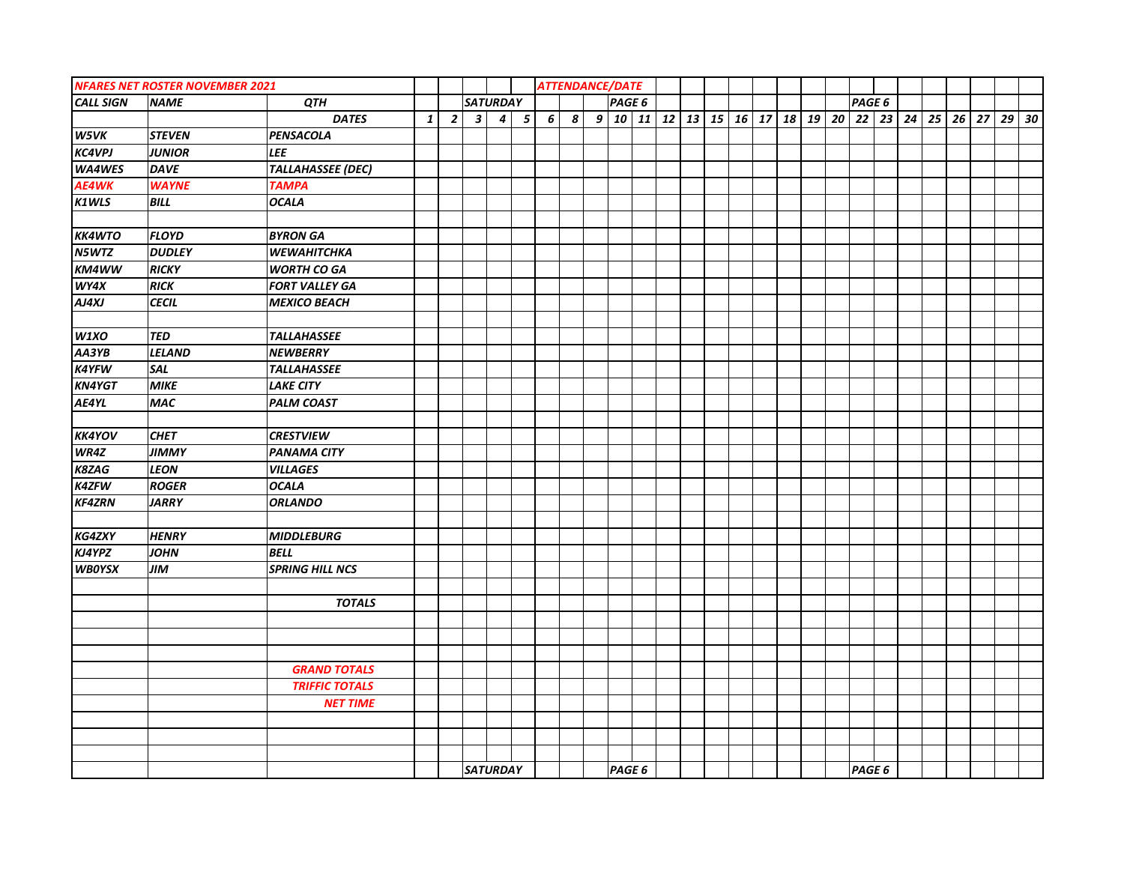|                  | <b>NFARES NET ROSTER NOVEMBER 2021</b> |                           |              |                |                         |                  |                         |   |                  | <b>ATTENDANCE/DATE</b>                               |  |  |  |  |               |  |  |         |  |
|------------------|----------------------------------------|---------------------------|--------------|----------------|-------------------------|------------------|-------------------------|---|------------------|------------------------------------------------------|--|--|--|--|---------------|--|--|---------|--|
| <b>CALL SIGN</b> | <b>NAME</b>                            | QTH                       |              |                |                         | <b>SATURDAY</b>  |                         |   |                  | PAGE 6                                               |  |  |  |  | PAGE 6        |  |  |         |  |
|                  |                                        | <b>DATES</b>              | $\mathbf{1}$ | $\overline{2}$ | $\overline{\mathbf{3}}$ | $\boldsymbol{4}$ | $\overline{\mathbf{5}}$ | 6 | $\boldsymbol{s}$ | $9 10 11 12 13 15 16 17 18 19 20 22 23 24 25 26 27 $ |  |  |  |  |               |  |  | $29$ 30 |  |
| W5VK             | <b>STEVEN</b>                          | <b>PENSACOLA</b>          |              |                |                         |                  |                         |   |                  |                                                      |  |  |  |  |               |  |  |         |  |
| <b>KC4VPJ</b>    | <b>JUNIOR</b>                          | <b>LEE</b>                |              |                |                         |                  |                         |   |                  |                                                      |  |  |  |  |               |  |  |         |  |
| WA4WES           | <b>DAVE</b>                            | <b>TALLAHASSEE (DEC)</b>  |              |                |                         |                  |                         |   |                  |                                                      |  |  |  |  |               |  |  |         |  |
| AE4WK            | <b>WAYNE</b>                           | <b>TAMPA</b>              |              |                |                         |                  |                         |   |                  |                                                      |  |  |  |  |               |  |  |         |  |
| K1WLS            | BILL                                   | <b>OCALA</b>              |              |                |                         |                  |                         |   |                  |                                                      |  |  |  |  |               |  |  |         |  |
|                  |                                        |                           |              |                |                         |                  |                         |   |                  |                                                      |  |  |  |  |               |  |  |         |  |
| <b>KK4WTO</b>    | <b>FLOYD</b>                           | <b>BYRON GA</b>           |              |                |                         |                  |                         |   |                  |                                                      |  |  |  |  |               |  |  |         |  |
| N5WTZ            | <b>DUDLEY</b>                          | <b><i>WEWAHITCHKA</i></b> |              |                |                         |                  |                         |   |                  |                                                      |  |  |  |  |               |  |  |         |  |
| KM4WW            | <b>RICKY</b>                           | <b>WORTH CO GA</b>        |              |                |                         |                  |                         |   |                  |                                                      |  |  |  |  |               |  |  |         |  |
| WY4X             | <b>RICK</b>                            | <b>FORT VALLEY GA</b>     |              |                |                         |                  |                         |   |                  |                                                      |  |  |  |  |               |  |  |         |  |
| $A$ J $4X$ J     | <b>CECIL</b>                           | <b>MEXICO BEACH</b>       |              |                |                         |                  |                         |   |                  |                                                      |  |  |  |  |               |  |  |         |  |
|                  |                                        |                           |              |                |                         |                  |                         |   |                  |                                                      |  |  |  |  |               |  |  |         |  |
| W1XO             | <b>TED</b>                             | <b>TALLAHASSEE</b>        |              |                |                         |                  |                         |   |                  |                                                      |  |  |  |  |               |  |  |         |  |
| AA3YB            | <b>LELAND</b>                          | <b>NEWBERRY</b>           |              |                |                         |                  |                         |   |                  |                                                      |  |  |  |  |               |  |  |         |  |
| <b>K4YFW</b>     | SAL                                    | <b>TALLAHASSEE</b>        |              |                |                         |                  |                         |   |                  |                                                      |  |  |  |  |               |  |  |         |  |
| <b>KN4YGT</b>    | <b>MIKE</b>                            | <b>LAKE CITY</b>          |              |                |                         |                  |                         |   |                  |                                                      |  |  |  |  |               |  |  |         |  |
| AE4YL            | <b>MAC</b>                             | <b>PALM COAST</b>         |              |                |                         |                  |                         |   |                  |                                                      |  |  |  |  |               |  |  |         |  |
|                  |                                        |                           |              |                |                         |                  |                         |   |                  |                                                      |  |  |  |  |               |  |  |         |  |
| <b>KK4YOV</b>    | <b>CHET</b>                            | <b>CRESTVIEW</b>          |              |                |                         |                  |                         |   |                  |                                                      |  |  |  |  |               |  |  |         |  |
| WR4Z             | <b>JIMMY</b>                           | <b>PANAMA CITY</b>        |              |                |                         |                  |                         |   |                  |                                                      |  |  |  |  |               |  |  |         |  |
| K8ZAG            | <b>LEON</b>                            | <b>VILLAGES</b>           |              |                |                         |                  |                         |   |                  |                                                      |  |  |  |  |               |  |  |         |  |
| <b>K4ZFW</b>     | <b>ROGER</b>                           | <b>OCALA</b>              |              |                |                         |                  |                         |   |                  |                                                      |  |  |  |  |               |  |  |         |  |
| <b>KF4ZRN</b>    | <b>JARRY</b>                           | <b>ORLANDO</b>            |              |                |                         |                  |                         |   |                  |                                                      |  |  |  |  |               |  |  |         |  |
|                  |                                        |                           |              |                |                         |                  |                         |   |                  |                                                      |  |  |  |  |               |  |  |         |  |
| <b>KG4ZXY</b>    | <b>HENRY</b>                           | <b>MIDDLEBURG</b>         |              |                |                         |                  |                         |   |                  |                                                      |  |  |  |  |               |  |  |         |  |
| KJ4YPZ           | <b>JOHN</b>                            | <b>BELL</b>               |              |                |                         |                  |                         |   |                  |                                                      |  |  |  |  |               |  |  |         |  |
| <b>WBOYSX</b>    | <b>JIM</b>                             | <b>SPRING HILL NCS</b>    |              |                |                         |                  |                         |   |                  |                                                      |  |  |  |  |               |  |  |         |  |
|                  |                                        |                           |              |                |                         |                  |                         |   |                  |                                                      |  |  |  |  |               |  |  |         |  |
|                  |                                        | <b>TOTALS</b>             |              |                |                         |                  |                         |   |                  |                                                      |  |  |  |  |               |  |  |         |  |
|                  |                                        |                           |              |                |                         |                  |                         |   |                  |                                                      |  |  |  |  |               |  |  |         |  |
|                  |                                        |                           |              |                |                         |                  |                         |   |                  |                                                      |  |  |  |  |               |  |  |         |  |
|                  |                                        |                           |              |                |                         |                  |                         |   |                  |                                                      |  |  |  |  |               |  |  |         |  |
|                  |                                        | <b>GRAND TOTALS</b>       |              |                |                         |                  |                         |   |                  |                                                      |  |  |  |  |               |  |  |         |  |
|                  |                                        | <b>TRIFFIC TOTALS</b>     |              |                |                         |                  |                         |   |                  |                                                      |  |  |  |  |               |  |  |         |  |
|                  |                                        | <b>NET TIME</b>           |              |                |                         |                  |                         |   |                  |                                                      |  |  |  |  |               |  |  |         |  |
|                  |                                        |                           |              |                |                         |                  |                         |   |                  |                                                      |  |  |  |  |               |  |  |         |  |
|                  |                                        |                           |              |                |                         |                  |                         |   |                  |                                                      |  |  |  |  |               |  |  |         |  |
|                  |                                        |                           |              |                |                         |                  |                         |   |                  |                                                      |  |  |  |  |               |  |  |         |  |
|                  |                                        |                           |              |                |                         | <b>SATURDAY</b>  |                         |   |                  | PAGE 6                                               |  |  |  |  | <b>PAGE 6</b> |  |  |         |  |